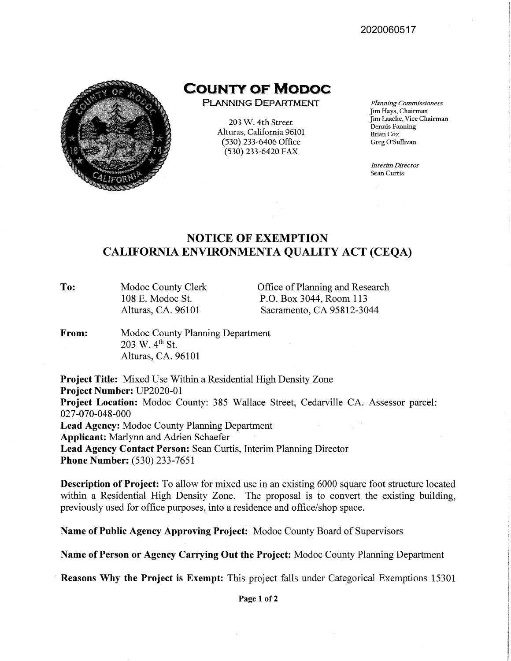2020060517



**COUNTY OF MODOC** 

**PLANNING DEPARTMENT** 

203 W. 4th Street Alturas, California 96101 (530) 233-6406 Office (530) 233-6420 FAX

*Planning Commissioners*  Jim Hays, Chairman Jim Laacke, Vice Chairman Dennis Fanning Brian Cox Greg O'Sullivan

*Interim Director*  Sean Curtis

## **NOTICE OF EXEMPTION CALIFORNIA ENVIRONMENTA QUALITY ACT (CEQA)**

**To:**  Modoc County Clerk 108 E. Modoc St. Alturas, CA. 96101

Office of Planning and Research P.O. Box 3044, Room 113 Sacramento, CA 95812-3044

**From:**  Modoc County Planning Department 203 W. 4<sup>th</sup> St. Alturas, CA. 96101

**Project Title:** Mixed Use Within a Residential High Density Zone **Project Number:** UP2020-01 **Project Location:** Modoc County: 385 Wallace Street, Cedarville CA. Assessor parcel: 027-070-048-000 **Lead Agency:** Modoc County Planning Department **Applicant:** Marlynn and Adrien Schaefer **Lead Agency Contact Person:** Sean Curtis, Interim Planning Director **Phone Number:** (530) 233-7651

**Description of Project:** To allow for mixed use in an existing 6000 square foot structure located within a Residential High Density Zone. The proposal is to convert the existing building, previously used for office purposes, into a residence and office/shop space.

**Name of Public Agency Approving Project:** Modoc County Board of Supervisors

**Name of Person or Agency Carrying Out the Project:** Modoc County Planning Department

**Reasons Why the Project is Exempt:** This project falls under Categorical Exemptions 15301

**Page 1 of 2**